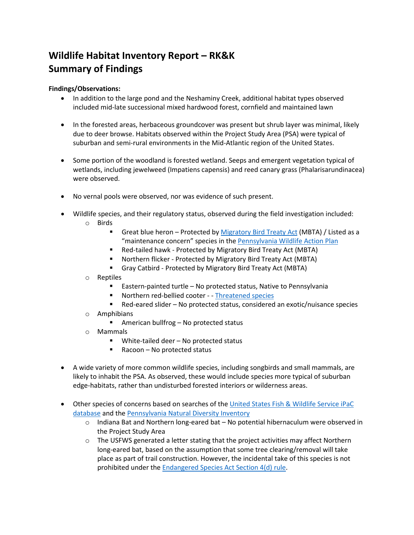## **Wildlife Habitat Inventory Report – RK&K Summary of Findings**

## **Findings/Observations:**

- In addition to the large pond and the Neshaminy Creek, additional habitat types observed included mid-late successional mixed hardwood forest, cornfield and maintained lawn
- In the forested areas, herbaceous groundcover was present but shrub layer was minimal, likely due to deer browse. Habitats observed within the Project Study Area (PSA) were typical of suburban and semi-rural environments in the Mid-Atlantic region of the United States.
- Some portion of the woodland is forested wetland. Seeps and emergent vegetation typical of wetlands, including jewelweed (Impatiens capensis) and reed canary grass (Phalarisarundinacea) were observed.
- No vernal pools were observed, nor was evidence of such present.
- Wildlife species, and their regulatory status, observed during the field investigation included: o Birds
	- - Great blue heron Protected b[y Migratory Bird Treaty Act](https://gcc02.safelinks.protection.outlook.com/?url=https%3A%2F%2Fwww.fws.gov%2Fbirds%2Fpolicies-and-regulations%2Flaws-legislations%2Fmigratory-bird-treaty-act.php&data=04%7C01%7Cpwgordon%40buckscounty.org%7Cf8c99eba7a6f44d2bb7508d99f8a819c%7C84e2e871e7fc4b00a387ce8840a4e58d%7C0%7C0%7C637716239489980640%7CUnknown%7CTWFpbGZsb3d8eyJWIjoiMC4wLjAwMDAiLCJQIjoiV2luMzIiLCJBTiI6Ik1haWwiLCJXVCI6Mn0%3D%7C1000&sdata=7D%2FsN%2BRCGEr4u2jj6pzDpVYTrczUeNHfoiKtCqcrRAQ%3D&reserved=0) (MBTA) / Listed as a "maintenance concern" species in the [Pennsylvania Wildlife Action Plan](https://gcc02.safelinks.protection.outlook.com/?url=https%3A%2F%2Fwww.fishandboat.com%2FResource%2FStateWildlifeActionPlan%2FPages%2Fdefault.aspx&data=04%7C01%7Cpwgordon%40buckscounty.org%7Cf8c99eba7a6f44d2bb7508d99f8a819c%7C84e2e871e7fc4b00a387ce8840a4e58d%7C0%7C0%7C637716239489990593%7CUnknown%7CTWFpbGZsb3d8eyJWIjoiMC4wLjAwMDAiLCJQIjoiV2luMzIiLCJBTiI6Ik1haWwiLCJXVCI6Mn0%3D%7C1000&sdata=RAAA0yXIWlTFzOZlwjwh%2B%2FY0FWlMGjux3waR5AZxyUY%3D&reserved=0)
		- Red-tailed hawk Protected by Migratory Bird Treaty Act (MBTA)
		- Northern flicker Protected by Migratory Bird Treaty Act (MBTA)
		- Gray Catbird Protected by Migratory Bird Treaty Act (MBTA)
	- o Reptiles
		- Eastern-painted turtle No protected status, Native to Pennsylvania
		- Northern red-bellied cooter - [Threatened species](https://gcc02.safelinks.protection.outlook.com/?url=https%3A%2F%2Fwww.fishandboat.com%2FLearningCenter%2FFAQs%2FPages%2FAmphibiansReptiles.aspx&data=04%7C01%7Cpwgordon%40buckscounty.org%7Cf8c99eba7a6f44d2bb7508d99f8a819c%7C84e2e871e7fc4b00a387ce8840a4e58d%7C0%7C0%7C637716239489990593%7CUnknown%7CTWFpbGZsb3d8eyJWIjoiMC4wLjAwMDAiLCJQIjoiV2luMzIiLCJBTiI6Ik1haWwiLCJXVCI6Mn0%3D%7C1000&sdata=kFQ0y3wzIg8IHrKhT2ZIm6vgfdAi1Crs4xqwr4lctf8%3D&reserved=0)
		- Red-eared slider No protected status, considered an exotic/nuisance species
	- o Amphibians
		- American bullfrog No protected status
	- o Mammals
		- White-tailed deer No protected status
		- Racoon No protected status
- A wide variety of more common wildlife species, including songbirds and small mammals, are likely to inhabit the PSA. As observed, these would include species more typical of suburban edge-habitats, rather than undisturbed forested interiors or wilderness areas.
- Other species of concerns based on searches of th[e United States Fish & Wildlife Service iPaC](https://gcc02.safelinks.protection.outlook.com/?url=https%3A%2F%2Fecos.fws.gov%2Fipac%2F&data=04%7C01%7Cpwgordon%40buckscounty.org%7Cf8c99eba7a6f44d2bb7508d99f8a819c%7C84e2e871e7fc4b00a387ce8840a4e58d%7C0%7C0%7C637716239490000556%7CUnknown%7CTWFpbGZsb3d8eyJWIjoiMC4wLjAwMDAiLCJQIjoiV2luMzIiLCJBTiI6Ik1haWwiLCJXVCI6Mn0%3D%7C1000&sdata=yC1wkcxVJWwR7mN21Le1dxo8N2IFlyiMRXOJh9Zp6Ds%3D&reserved=0)  [database](https://gcc02.safelinks.protection.outlook.com/?url=https%3A%2F%2Fecos.fws.gov%2Fipac%2F&data=04%7C01%7Cpwgordon%40buckscounty.org%7Cf8c99eba7a6f44d2bb7508d99f8a819c%7C84e2e871e7fc4b00a387ce8840a4e58d%7C0%7C0%7C637716239490000556%7CUnknown%7CTWFpbGZsb3d8eyJWIjoiMC4wLjAwMDAiLCJQIjoiV2luMzIiLCJBTiI6Ik1haWwiLCJXVCI6Mn0%3D%7C1000&sdata=yC1wkcxVJWwR7mN21Le1dxo8N2IFlyiMRXOJh9Zp6Ds%3D&reserved=0) and the [Pennsylvania Natural Diversity Inventory](https://gcc02.safelinks.protection.outlook.com/?url=https%3A%2F%2Fconservationexplorer.dcnr.pa.gov%2F&data=04%7C01%7Cpwgordon%40buckscounty.org%7Cf8c99eba7a6f44d2bb7508d99f8a819c%7C84e2e871e7fc4b00a387ce8840a4e58d%7C0%7C0%7C637716239490000556%7CUnknown%7CTWFpbGZsb3d8eyJWIjoiMC4wLjAwMDAiLCJQIjoiV2luMzIiLCJBTiI6Ik1haWwiLCJXVCI6Mn0%3D%7C1000&sdata=0i5Hi04YkRo%2Fr6ci%2Fcf%2BLn%2BPod3qZsoqZD5GT17E098%3D&reserved=0)
	- $\circ$  Indiana Bat and Northern long-eared bat No potential hibernaculum were observed in the Project Study Area
	- $\circ$  The USFWS generated a letter stating that the project activities may affect Northern long-eared bat, based on the assumption that some tree clearing/removal will take place as part of trail construction. However, the incidental take of this species is not prohibited under the [Endangered Species Act Section 4\(d\) rule.](https://gcc02.safelinks.protection.outlook.com/?url=https%3A%2F%2Fwww.fws.gov%2Fendangered%2Flaws-policies%2Fsection-4.html&data=04%7C01%7Cpwgordon%40buckscounty.org%7Cf8c99eba7a6f44d2bb7508d99f8a819c%7C84e2e871e7fc4b00a387ce8840a4e58d%7C0%7C0%7C637716239490010514%7CUnknown%7CTWFpbGZsb3d8eyJWIjoiMC4wLjAwMDAiLCJQIjoiV2luMzIiLCJBTiI6Ik1haWwiLCJXVCI6Mn0%3D%7C1000&sdata=ufvl7xXeVvrLabm0ueDpAVrt1b8LESUXUnfKtvafAa8%3D&reserved=0)